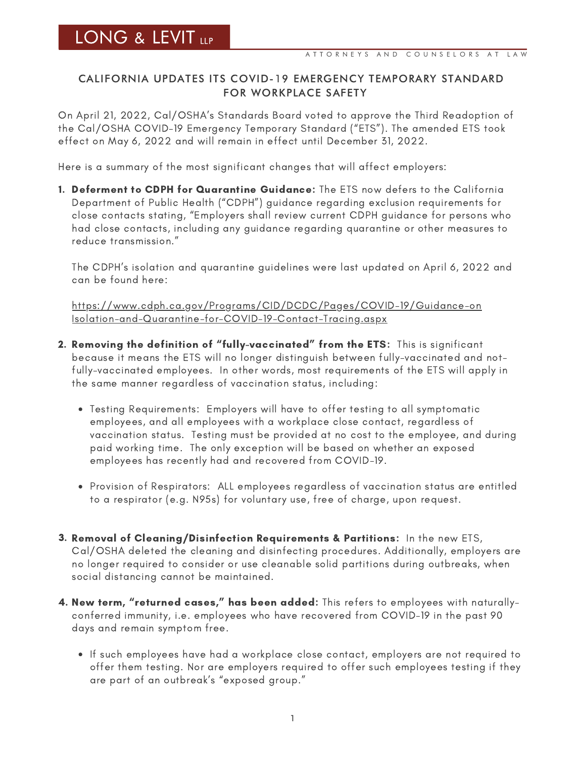## CALIFORNIA UPDATES ITS COVID-19 EMERGENCY TEMPORARY STANDARD FOR WORKPLACE SAFETY

On April 21, 2022, Cal/OSHA's Standards Board voted to approve the Third Readoption of the Cal/OSHA COVID-19 Emergency Temporary Standard ("ETS"). The amended ETS took effect on May 6, 2022 and will remain in effect until December 31, 2022.

Here is a summary of the most significant changes that will affect employers:

1. Deferment to CDPH for Quarantine Guidance: The ETS now defers to the California Department of Public Health ("CDPH") guidance regarding exclusion requirements for close contacts stating, "Employers shall review current CDPH guidance for persons who had close contacts, including any guidance regarding quarantine or other measures to reduce transmission."

The CDPH's isolation and quarantine guidelines were last updated on April 6, 2022 and can be found here:

[https://www.cdph.ca.gov/Programs/CID/DCDC/Pages/COVID-19/Guidance-on](https://www.cdph.ca.gov/Programs/CID/DCDC/Pages/COVID-19/Guidance-on-Isolation-and-Quarantine-for-COVID-19-Contact-Tracing.aspx) [Isolation-and-Quarantine-for-COVID-19-Contact-Tracing.aspx](https://www.cdph.ca.gov/Programs/CID/DCDC/Pages/COVID-19/Guidance-on-Isolation-and-Quarantine-for-COVID-19-Contact-Tracing.aspx)

- 2. Removing the definition of "fully-vaccinated" from the ETS: This is significant because it means the ETS will no longer distinguish between fully-vaccinated and notfully-vaccinated employees. In other words, most requirements of the ETS will apply in the same manner regardless of vaccination status, including:
	- Testing Requirements: Employers will have to offer testing to all symptomatic employees, and all employees with a workplace close contact, regardless of vaccination status. Testing must be provided at no cost to the employee, and during paid working time. The only exception will be based on whether an exposed employees has recently had and recovered from COVID-19.
	- Provision of Respirators: ALL employees regardless of vaccination status are entitled to a respirator (e.g. N95s) for voluntary use, free of charge, upon request.
- 3. Removal of Cleaning/Disinfection Requirements & Partitions: In the new ETS, Cal/OSHA deleted the cleaning and disinfecting procedures. Additionally, employers are no longer required to consider or use cleanable solid partitions during outbreaks, when social distancing cannot be maintained.
- **4. New term, "returned cases," has been added:** This refers to employees with naturallyconferred immunity, i.e. employees who have recovered from COVID-19 in the past 90 days and remain symptom free.
	- If such employees have had a workplace close contact, employers are not required to offer them testing. Nor are employers required to offer such employees testing if they are part of an outbreak's "exposed group."